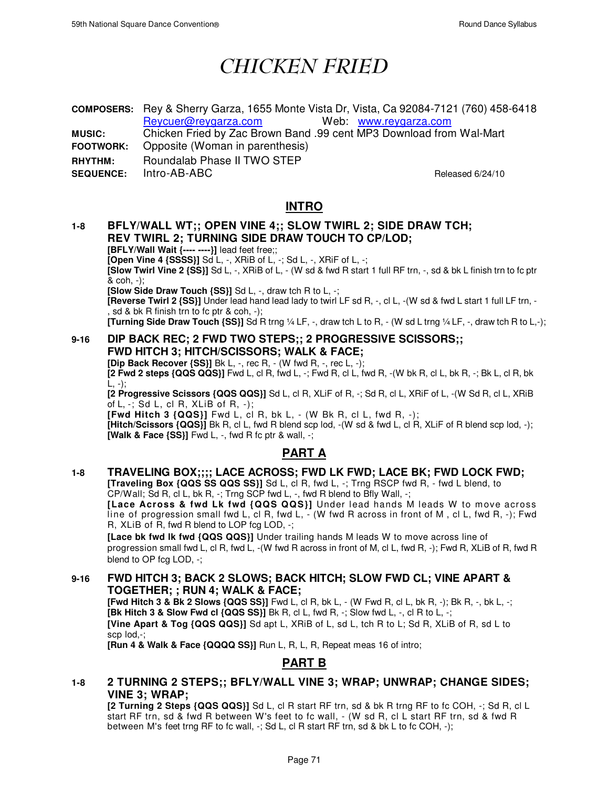# *CHICKEN FRIED*

**COMPOSERS:** Rey & Sherry Garza, 1655 Monte Vista Dr, Vista, Ca 92084-7121 (760) 458-6418 Reycuer@reygarza.com Web: www.reygarza.com

**MUSIC:** Chicken Fried by Zac Brown Band .99 cent MP3 Download from Wal-Mart **FOOTWORK:** Opposite (Woman in parenthesis)

**RHYTHM:** Roundalab Phase II TWO STEP

**SEQUENCE:** Intro-AB-ABC Released 6/24/10

## **INTRO**

## **1-8 BFLY/WALL WT;; OPEN VINE 4;; SLOW TWIRL 2; SIDE DRAW TCH; REV TWIRL 2; TURNING SIDE DRAW TOUCH TO CP/LOD;**

**[BFLY/Wall Wait {---- ----}]** lead feet free;;

**[Open Vine 4 {SSSS}]** Sd L, -, XRiB of L, -; Sd L, -, XRiF of L, -;

**[Slow Twirl Vine 2 {SS}]** Sd L, -, XRiB of L, - (W sd & fwd R start 1 full RF trn, -, sd & bk L finish trn to fc ptr & coh, -);

**[Slow Side Draw Touch {SS}]** Sd L, -, draw tch R to L, -;

**[Reverse Twirl 2 {SS}]** Under lead hand lead lady to twirl LF sd R, -, cl L, -(W sd & fwd L start 1 full LF trn, - , sd & bk R finish trn to fc ptr & coh, -);

**[Turning Side Draw Touch {SS}]** Sd R trng ¼ LF, -, draw tch L to R, - (W sd L trng ¼ LF, -, draw tch R to L,-);

#### **9-16 DIP BACK REC; 2 FWD TWO STEPS;; 2 PROGRESSIVE SCISSORS;; FWD HITCH 3; HITCH/SCISSORS; WALK & FACE;**

**[Dip Back Recover {SS}]** Bk L, -, rec R, - (W fwd R, -, rec L, -); **[2 Fwd 2 steps {QQS QQS}]** Fwd L, cl R, fwd L, -; Fwd R, cl L, fwd R, -(W bk R, cl L, bk R, -; Bk L, cl R, bk  $L, -)$ ;

**[2 Progressive Scissors {QQS QQS}]** Sd L, cl R, XLiF of R, -; Sd R, cl L, XRiF of L, -(W Sd R, cl L, XRiB of  $L, -$ ; Sd  $L, c$  R, XLiB of R,  $-$ );

**[Fwd Hitch 3 {QQS}]** Fwd L, cl R, bk L, - (W Bk R, cl L, fwd R, -);

**[Hitch/Scissors {QQS}]** Bk R, cl L, fwd R blend scp lod, -(W sd & fwd L, cl R, XLiF of R blend scp lod, -); **[Walk & Face {SS}]** Fwd L, -, fwd R fc ptr & wall, -;

# **PART A**

#### **1-8 TRAVELING BOX;;;; LACE ACROSS; FWD LK FWD; LACE BK; FWD LOCK FWD; [Traveling Box {QQS SS QQS SS}]** Sd L, cl R, fwd L, -; Trng RSCP fwd R, - fwd L blend, to

 $CP/W$ all; Sd R, cl L, bk R, -; Trng SCP fwd L, -, fwd R blend to Bfly Wall, -; [Lace Across & fwd Lk fwd {QQS QQS}] Under lead hands M leads W to move across line of progression small fwd L, cl R, fwd L, - (W fwd R across in front of M , cl L, fwd R, -); Fwd R, XLiB of R, fwd R blend to LOP fcg LOD, -;

**[Lace bk fwd lk fwd {QQS QQS}]** Under trailing hands M leads W to move across line of progression small fwd L, cl R, fwd L, -(W fwd R across in front of M, cl L, fwd R, -); Fwd R, XLiB of R, fwd R blend to OP fcg LOD, -;

#### **9-16 FWD HITCH 3; BACK 2 SLOWS; BACK HITCH; SLOW FWD CL; VINE APART & TOGETHER; ; RUN 4; WALK & FACE;**

**[Fwd Hitch 3 & Bk 2 Slows {QQS SS}]** Fwd L, cl R, bk L, - (W Fwd R, cl L, bk R, -); Bk R, -, bk L, -; **[Bk Hitch 3 & Slow Fwd cl {QQS SS}]** Bk R, cl L, fwd R, -; Slow fwd L, -, cl R to L, -; **[Vine Apart & Tog {QQS QQS}]** Sd apt L, XRiB of L, sd L, tch R to L; Sd R, XLiB of R, sd L to scp lod,-;

**[Run 4 & Walk & Face {QQQQ SS}]** Run L, R, L, R, Repeat meas 16 of intro;

## **PART B**

#### **1-8 2 TURNING 2 STEPS;; BFLY/WALL VINE 3; WRAP; UNWRAP; CHANGE SIDES; VINE 3; WRAP;**

**[2 Turning 2 Steps {QQS QQS}]** Sd L, cl R start RF trn, sd & bk R trng RF to fc COH, -; Sd R, cl L start RF trn, sd & fwd R between W's feet to fc wall, - (W sd R, cl L start RF trn, sd & fwd R between M's feet trng RF to fc wall, -; Sd L, cl R start RF trn, sd & bk L to fc COH, -);